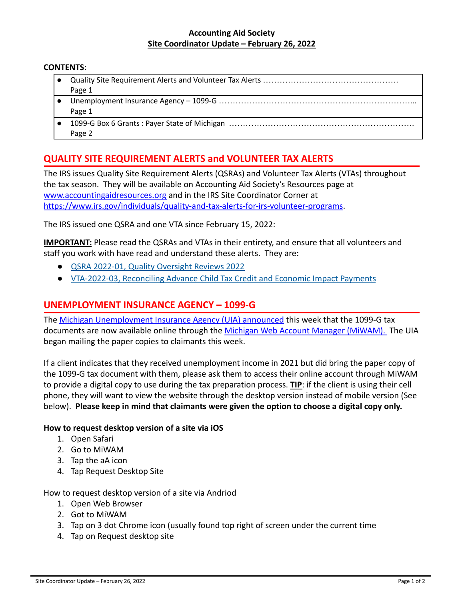### **Accounting Aid Society Site Coordinator Update – February 26, 2022**

#### **CONTENTS:**

| Page 1 |
|--------|
|        |

- Page 1
- 1099-G Box 6 Grants : Payer State of Michigan ………………………………………………………………………………………… Page 2

## **QUALITY SITE REQUIREMENT ALERTS and VOLUNTEER TAX ALERTS**

The IRS issues Quality Site Requirement Alerts (QSRAs) and Volunteer Tax Alerts (VTAs) throughout the tax season. They will be available on Accounting Aid Society's Resources page at [www.accountingaidresources.org](http://www.accountingaidresources.org) and in the IRS Site Coordinator Corner at [https://www.irs.gov/individuals/quality-and-tax-alerts-for-irs-volunteer-programs.](https://www.irs.gov/individuals/quality-and-tax-alerts-for-irs-volunteer-programs)

The IRS issued one QSRA and one VTA since February 15, 2022:

**IMPORTANT:** Please read the QSRAs and VTAs in their entirety, and ensure that all volunteers and staff you work with have read and understand these alerts. They are:

- [QSRA 2022-01, Quality Oversight Reviews 2022](https://www.irs.gov/pub/irs-utl/qsra-2022-01.pdf)
- [VTA-2022-03, Reconciling Advance Child Tax Credit and Economic Impact Payments](https://www.irs.gov/pub/irs-utl/vta-2022-03.pdf)

### **UNEMPLOYMENT INSURANCE AGENCY – 1099-G**

The [Michigan Unemployment Insurance Agency \(UIA\) announced](https://www.michigan.gov/leo/0,5863,7-336-94422_97241_98585_99416_98657-577774--,00.html) this week that the 1099-G tax documents are now available online through the Michigan [Web Account Manager \(MiWAM\).](https://miwam.unemployment.state.mi.us/ClmMiWAM/_/) The UIA began mailing the paper copies to claimants this week.

If a client indicates that they received unemployment income in 2021 but did bring the paper copy of the 1099-G tax document with them, please ask them to access their online account through MiWAM to provide a digital copy to use during the tax preparation process. **TIP**: if the client is using their cell phone, they will want to view the website through the desktop version instead of mobile version (See below). **Please keep in mind that claimants were given the option to choose a digital copy only.**

### **How to request desktop version of a site via iOS**

- 1. Open Safari
- 2. Go to MiWAM
- 3. Tap the aA icon
- 4. Tap Request Desktop Site

How to request desktop version of a site via Andriod

- 1. Open Web Browser
- 2. Got to MiWAM
- 3. Tap on 3 dot Chrome icon (usually found top right of screen under the current time
- 4. Tap on Request desktop site